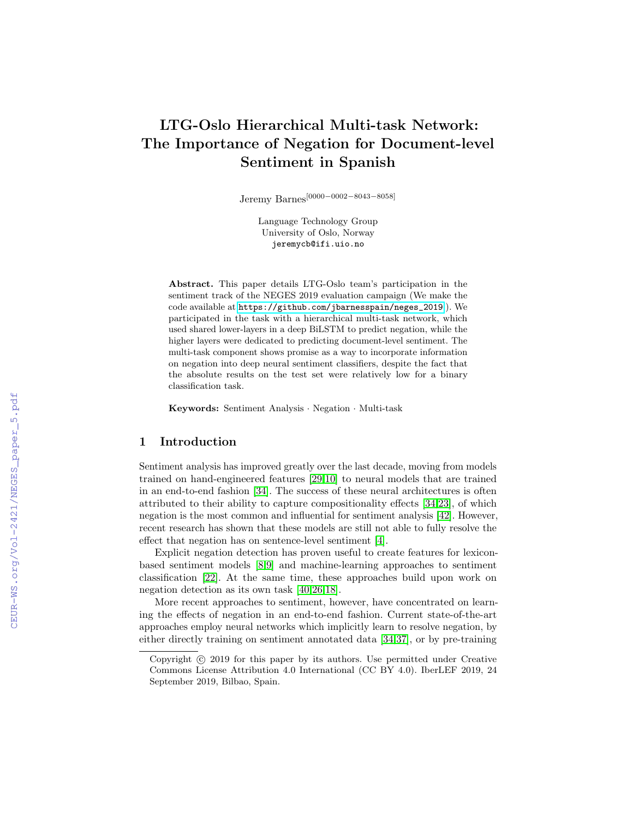# LTG-Oslo Hierarchical Multi-task Network: The Importance of Negation for Document-level Sentiment in Spanish

Jeremy Barnes[0000−0002−8043−8058]

Language Technology Group University of Oslo, Norway jeremycb@ifi.uio.no

Abstract. This paper details LTG-Oslo team's participation in the sentiment track of the NEGES 2019 evaluation campaign (We make the code available at [https://github.com/jbarnesspain/neges\\_2019](https://github.com/jbarnesspain/neges_2019).). We participated in the task with a hierarchical multi-task network, which used shared lower-layers in a deep BiLSTM to predict negation, while the higher layers were dedicated to predicting document-level sentiment. The multi-task component shows promise as a way to incorporate information on negation into deep neural sentiment classifiers, despite the fact that the absolute results on the test set were relatively low for a binary classification task.

Keywords: Sentiment Analysis · Negation · Multi-task

## 1 Introduction

Sentiment analysis has improved greatly over the last decade, moving from models trained on hand-engineered features [\[29](#page--1-0)[,10\]](#page--1-1) to neural models that are trained in an end-to-end fashion [\[34\]](#page--1-2). The success of these neural architectures is often attributed to their ability to capture compositionality effects [\[34](#page--1-2)[,23\]](#page--1-3), of which negation is the most common and influential for sentiment analysis [\[42\]](#page--1-4). However, recent research has shown that these models are still not able to fully resolve the effect that negation has on sentence-level sentiment [\[4\]](#page--1-5).

Explicit negation detection has proven useful to create features for lexiconbased sentiment models [\[8,](#page--1-6)[9\]](#page--1-7) and machine-learning approaches to sentiment classification [\[22\]](#page--1-8). At the same time, these approaches build upon work on negation detection as its own task [\[40](#page--1-9)[,26,](#page--1-10)[18\]](#page--1-11).

More recent approaches to sentiment, however, have concentrated on learning the effects of negation in an end-to-end fashion. Current state-of-the-art approaches employ neural networks which implicitly learn to resolve negation, by either directly training on sentiment annotated data [\[34](#page--1-2)[,37\]](#page--1-12), or by pre-training

Copyright  $\odot$  2019 for this paper by its authors. Use permitted under Creative Commons License Attribution 4.0 International (CC BY 4.0). IberLEF 2019, 24 September 2019, Bilbao, Spain.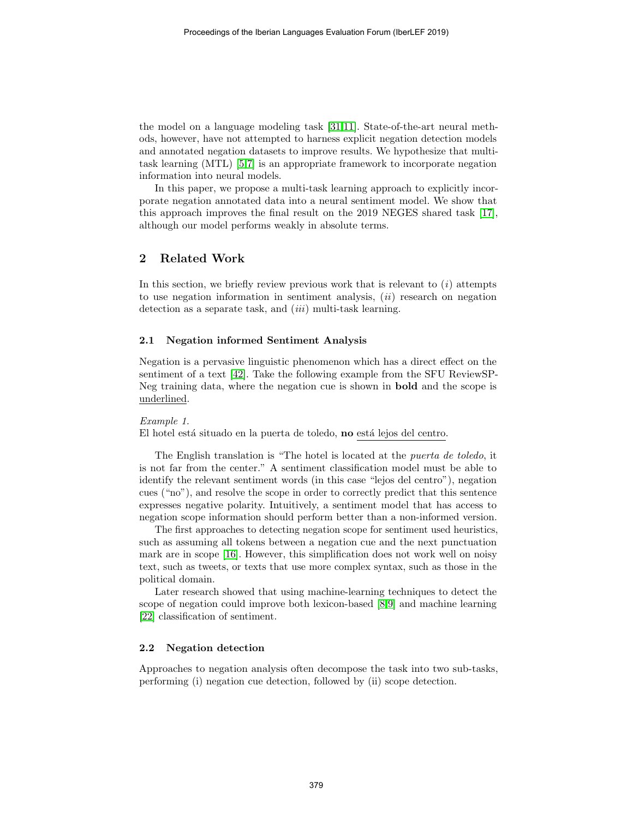the model on a language modeling task [\[31,](#page-10-0)[11\]](#page-8-0). State-of-the-art neural methods, however, have not attempted to harness explicit negation detection models and annotated negation datasets to improve results. We hypothesize that multitask learning (MTL) [\[5](#page-8-1)[,7\]](#page-8-2) is an appropriate framework to incorporate negation information into neural models.

In this paper, we propose a multi-task learning approach to explicitly incorporate negation annotated data into a neural sentiment model. We show that this approach improves the final result on the 2019 NEGES shared task [\[17\]](#page-9-0), although our model performs weakly in absolute terms.

# 2 Related Work

In this section, we briefly review previous work that is relevant to  $(i)$  attempts to use negation information in sentiment analysis,  $(ii)$  research on negation detection as a separate task, and *(iii)* multi-task learning.

## 2.1 Negation informed Sentiment Analysis

Negation is a pervasive linguistic phenomenon which has a direct effect on the sentiment of a text [\[42\]](#page-11-0). Take the following example from the SFU ReviewSP-Neg training data, where the negation cue is shown in bold and the scope is underlined.

#### Example 1.

El hotel está situado en la puerta de toledo, no está lejos del centro.

The English translation is "The hotel is located at the puerta de toledo, it is not far from the center." A sentiment classification model must be able to identify the relevant sentiment words (in this case "lejos del centro"), negation cues ("no"), and resolve the scope in order to correctly predict that this sentence expresses negative polarity. Intuitively, a sentiment model that has access to negation scope information should perform better than a non-informed version.

The first approaches to detecting negation scope for sentiment used heuristics, such as assuming all tokens between a negation cue and the next punctuation mark are in scope [\[16\]](#page-9-1). However, this simplification does not work well on noisy text, such as tweets, or texts that use more complex syntax, such as those in the political domain.

Later research showed that using machine-learning techniques to detect the scope of negation could improve both lexicon-based [\[8,](#page-8-3)[9\]](#page-8-4) and machine learning [\[22\]](#page-9-2) classification of sentiment.

## 2.2 Negation detection

Approaches to negation analysis often decompose the task into two sub-tasks, performing (i) negation cue detection, followed by (ii) scope detection.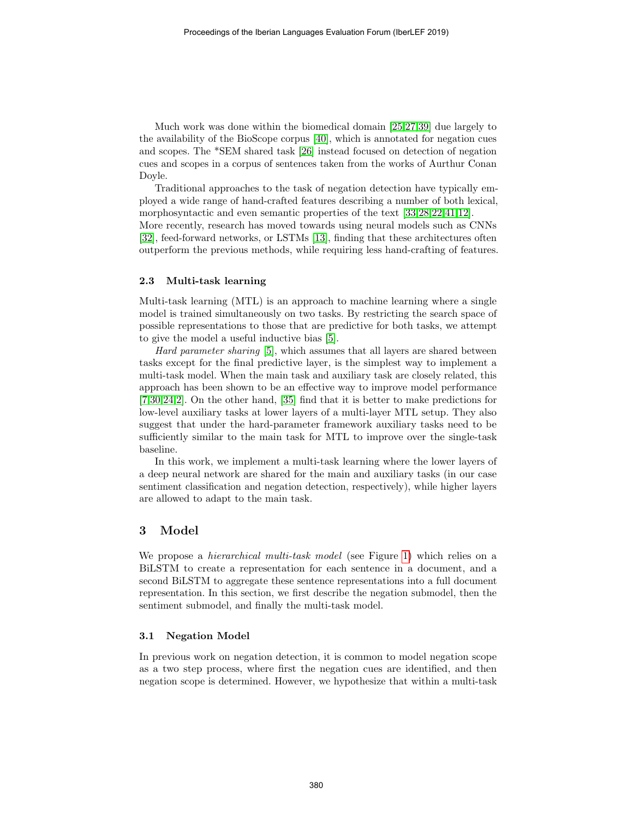Much work was done within the biomedical domain [\[25](#page-10-1)[,27,](#page-10-2)[39\]](#page-11-1) due largely to the availability of the BioScope corpus [\[40\]](#page-11-2), which is annotated for negation cues and scopes. The \*SEM shared task [\[26\]](#page-10-3) instead focused on detection of negation cues and scopes in a corpus of sentences taken from the works of Aurthur Conan Doyle.

Traditional approaches to the task of negation detection have typically employed a wide range of hand-crafted features describing a number of both lexical, morphosyntactic and even semantic properties of the text [\[33,](#page-10-4)[28,](#page-10-5)[22,](#page-9-2)[41,](#page-11-3)[12\]](#page-8-5).

More recently, research has moved towards using neural models such as CNNs [\[32\]](#page-10-6), feed-forward networks, or LSTMs [\[13\]](#page-9-3), finding that these architectures often outperform the previous methods, while requiring less hand-crafting of features.

### 2.3 Multi-task learning

Multi-task learning (MTL) is an approach to machine learning where a single model is trained simultaneously on two tasks. By restricting the search space of possible representations to those that are predictive for both tasks, we attempt to give the model a useful inductive bias [\[5\]](#page-8-1).

Hard parameter sharing [\[5\]](#page-8-1), which assumes that all layers are shared between tasks except for the final predictive layer, is the simplest way to implement a multi-task model. When the main task and auxiliary task are closely related, this approach has been shown to be an effective way to improve model performance [\[7](#page-8-2)[,30](#page-10-7)[,24,](#page-9-4)[2\]](#page-8-6). On the other hand, [\[35\]](#page-10-8) find that it is better to make predictions for low-level auxiliary tasks at lower layers of a multi-layer MTL setup. They also suggest that under the hard-parameter framework auxiliary tasks need to be sufficiently similar to the main task for MTL to improve over the single-task baseline.

In this work, we implement a multi-task learning where the lower layers of a deep neural network are shared for the main and auxiliary tasks (in our case sentiment classification and negation detection, respectively), while higher layers are allowed to adapt to the main task.

## 3 Model

We propose a *hierarchical multi-task model* (see Figure [1\)](#page-3-0) which relies on a BiLSTM to create a representation for each sentence in a document, and a second BiLSTM to aggregate these sentence representations into a full document representation. In this section, we first describe the negation submodel, then the sentiment submodel, and finally the multi-task model.

#### 3.1 Negation Model

In previous work on negation detection, it is common to model negation scope as a two step process, where first the negation cues are identified, and then negation scope is determined. However, we hypothesize that within a multi-task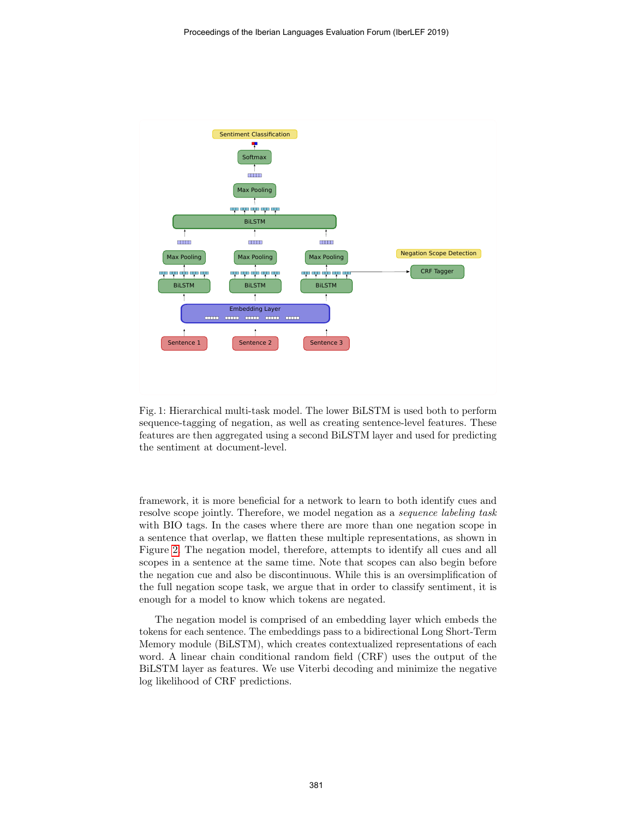<span id="page-3-0"></span>

Fig. 1: Hierarchical multi-task model. The lower BiLSTM is used both to perform sequence-tagging of negation, as well as creating sentence-level features. These features are then aggregated using a second BiLSTM layer and used for predicting the sentiment at document-level.

framework, it is more beneficial for a network to learn to both identify cues and resolve scope jointly. Therefore, we model negation as a sequence labeling task with BIO tags. In the cases where there are more than one negation scope in a sentence that overlap, we flatten these multiple representations, as shown in Figure [2.](#page-4-0) The negation model, therefore, attempts to identify all cues and all scopes in a sentence at the same time. Note that scopes can also begin before the negation cue and also be discontinuous. While this is an oversimplification of the full negation scope task, we argue that in order to classify sentiment, it is enough for a model to know which tokens are negated.

The negation model is comprised of an embedding layer which embeds the tokens for each sentence. The embeddings pass to a bidirectional Long Short-Term Memory module (BiLSTM), which creates contextualized representations of each word. A linear chain conditional random field (CRF) uses the output of the BiLSTM layer as features. We use Viterbi decoding and minimize the negative log likelihood of CRF predictions.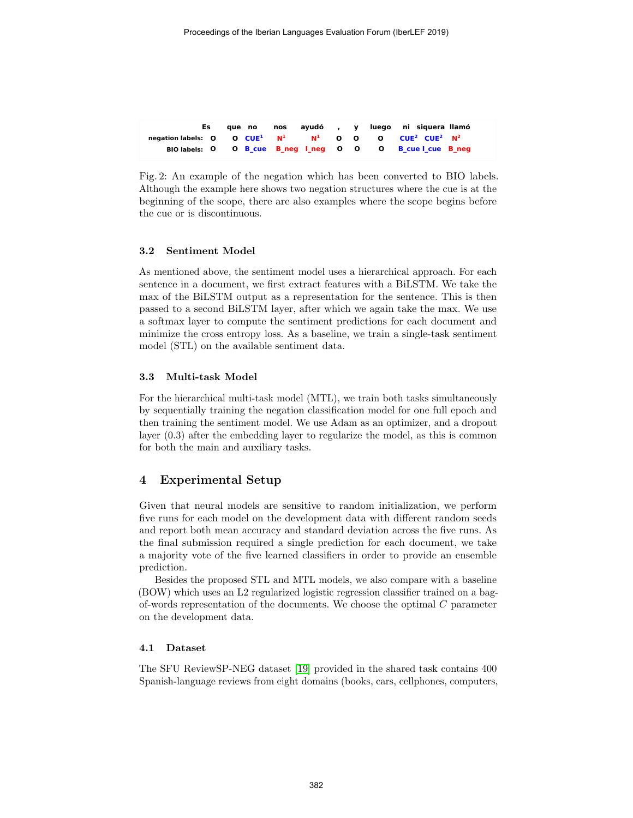<span id="page-4-0"></span>

|                                                                                | aue no |  |  | nos ayudó, y luego ni siguera llamó                       |
|--------------------------------------------------------------------------------|--------|--|--|-----------------------------------------------------------|
| negation labels: $Q$ $Q$ $CUE^1$ $N^1$ $N^1$ $Q$ $Q$ $Q$ $CUE^2$ $CUE^2$ $N^2$ |        |  |  |                                                           |
|                                                                                |        |  |  | BIO labels: 0 0 B cue B neg I neg 0 0 0 B cue I cue B neg |

Fig. 2: An example of the negation which has been converted to BIO labels. Although the example here shows two negation structures where the cue is at the beginning of the scope, there are also examples where the scope begins before the cue or is discontinuous.

## 3.2 Sentiment Model

As mentioned above, the sentiment model uses a hierarchical approach. For each sentence in a document, we first extract features with a BiLSTM. We take the max of the BiLSTM output as a representation for the sentence. This is then passed to a second BiLSTM layer, after which we again take the max. We use a softmax layer to compute the sentiment predictions for each document and minimize the cross entropy loss. As a baseline, we train a single-task sentiment model (STL) on the available sentiment data.

#### 3.3 Multi-task Model

For the hierarchical multi-task model (MTL), we train both tasks simultaneously by sequentially training the negation classification model for one full epoch and then training the sentiment model. We use Adam as an optimizer, and a dropout layer (0.3) after the embedding layer to regularize the model, as this is common for both the main and auxiliary tasks.

## 4 Experimental Setup

Given that neural models are sensitive to random initialization, we perform five runs for each model on the development data with different random seeds and report both mean accuracy and standard deviation across the five runs. As the final submission required a single prediction for each document, we take a majority vote of the five learned classifiers in order to provide an ensemble prediction.

Besides the proposed STL and MTL models, we also compare with a baseline (BOW) which uses an L2 regularized logistic regression classifier trained on a bagof-words representation of the documents. We choose the optimal C parameter on the development data.

#### 4.1 Dataset

The SFU ReviewSP-NEG dataset [\[19\]](#page-9-5) provided in the shared task contains 400 Spanish-language reviews from eight domains (books, cars, cellphones, computers,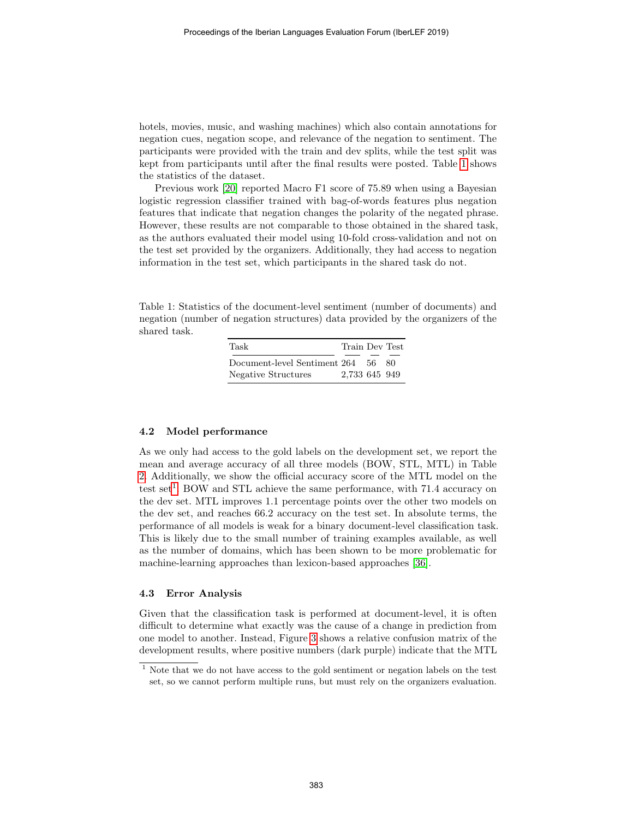hotels, movies, music, and washing machines) which also contain annotations for negation cues, negation scope, and relevance of the negation to sentiment. The participants were provided with the train and dev splits, while the test split was kept from participants until after the final results were posted. Table [1](#page-5-0) shows the statistics of the dataset.

Previous work [\[20\]](#page-9-6) reported Macro F1 score of 75.89 when using a Bayesian logistic regression classifier trained with bag-of-words features plus negation features that indicate that negation changes the polarity of the negated phrase. However, these results are not comparable to those obtained in the shared task, as the authors evaluated their model using 10-fold cross-validation and not on the test set provided by the organizers. Additionally, they had access to negation information in the test set, which participants in the shared task do not.

<span id="page-5-0"></span>Table 1: Statistics of the document-level sentiment (number of documents) and negation (number of negation structures) data provided by the organizers of the shared task.

| Task                         | Train Dev Test |      |     |
|------------------------------|----------------|------|-----|
| Document-level Sentiment 264 |                | - 56 | -80 |
| Negative Structures          | 2,733 645 949  |      |     |

#### 4.2 Model performance

As we only had access to the gold labels on the development set, we report the mean and average accuracy of all three models (BOW, STL, MTL) in Table [2.](#page-6-0) Additionally, we show the official accuracy score of the MTL model on the test set<sup>[1](#page-5-1)</sup>. BOW and STL achieve the same performance, with 71.4 accuracy on the dev set. MTL improves 1.1 percentage points over the other two models on the dev set, and reaches 66.2 accuracy on the test set. In absolute terms, the performance of all models is weak for a binary document-level classification task. This is likely due to the small number of training examples available, as well as the number of domains, which has been shown to be more problematic for machine-learning approaches than lexicon-based approaches [\[36\]](#page-10-9).

#### 4.3 Error Analysis

Given that the classification task is performed at document-level, it is often difficult to determine what exactly was the cause of a change in prediction from one model to another. Instead, Figure [3](#page-6-1) shows a relative confusion matrix of the development results, where positive numbers (dark purple) indicate that the MTL

<span id="page-5-1"></span> $^{\rm 1}$  Note that we do not have access to the gold sentiment or negation labels on the test set, so we cannot perform multiple runs, but must rely on the organizers evaluation.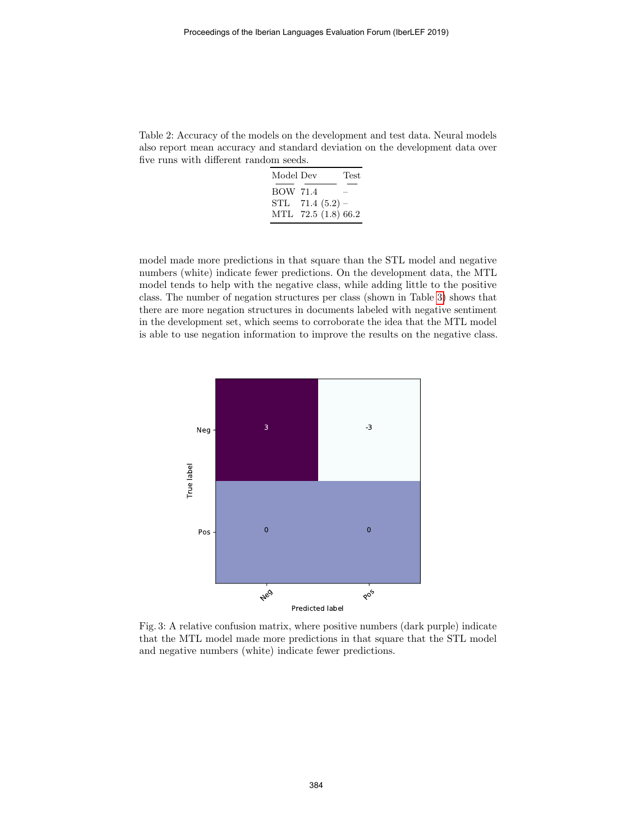<span id="page-6-0"></span>Table 2: Accuracy of the models on the development and test data. Neural models also report mean accuracy and standard deviation on the development data over five runs with different random seeds.

| Model Dev       |                     | Test |
|-----------------|---------------------|------|
| <b>BOW 71.4</b> |                     |      |
|                 | STL $71.4(5.2)$ –   |      |
|                 | MTL 72.5 (1.8) 66.2 |      |

model made more predictions in that square than the STL model and negative numbers (white) indicate fewer predictions. On the development data, the MTL model tends to help with the negative class, while adding little to the positive class. The number of negation structures per class (shown in Table [3\)](#page-7-0) shows that there are more negation structures in documents labeled with negative sentiment in the development set, which seems to corroborate the idea that the MTL model is able to use negation information to improve the results on the negative class.

<span id="page-6-1"></span>

Fig. 3: A relative confusion matrix, where positive numbers (dark purple) indicate that the MTL model made more predictions in that square that the STL model and negative numbers (white) indicate fewer predictions.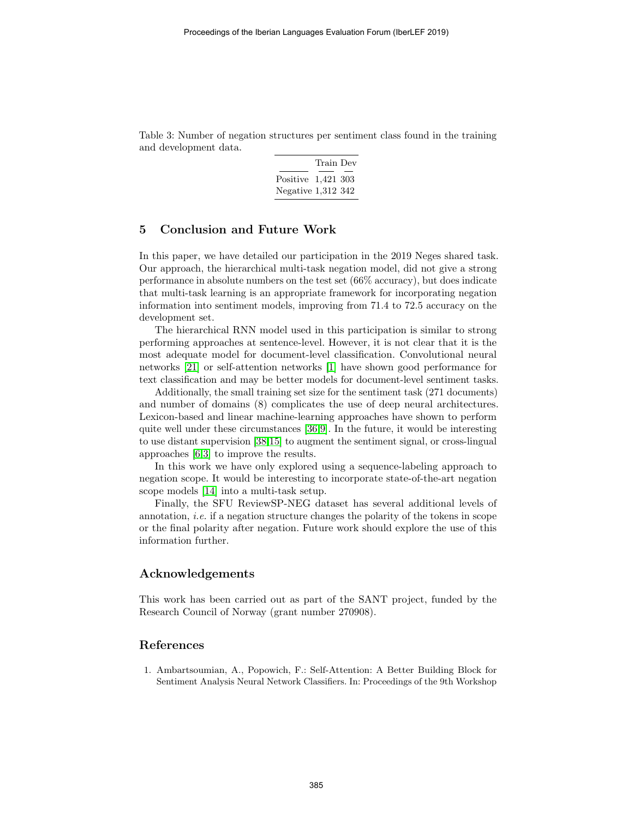<span id="page-7-0"></span>Table 3: Number of negation structures per sentiment class found in the training and development data.

|                    | Train Dev |  |
|--------------------|-----------|--|
| Positive 1,421 303 |           |  |
| Negative 1,312 342 |           |  |

# 5 Conclusion and Future Work

In this paper, we have detailed our participation in the 2019 Neges shared task. Our approach, the hierarchical multi-task negation model, did not give a strong performance in absolute numbers on the test set (66% accuracy), but does indicate that multi-task learning is an appropriate framework for incorporating negation information into sentiment models, improving from 71.4 to 72.5 accuracy on the development set.

The hierarchical RNN model used in this participation is similar to strong performing approaches at sentence-level. However, it is not clear that it is the most adequate model for document-level classification. Convolutional neural networks [\[21\]](#page-9-7) or self-attention networks [\[1\]](#page-7-1) have shown good performance for text classification and may be better models for document-level sentiment tasks.

Additionally, the small training set size for the sentiment task (271 documents) and number of domains (8) complicates the use of deep neural architectures. Lexicon-based and linear machine-learning approaches have shown to perform quite well under these circumstances [\[36,](#page-10-9)[9\]](#page-8-4). In the future, it would be interesting to use distant supervision [\[38,](#page-11-4)[15\]](#page-9-8) to augment the sentiment signal, or cross-lingual approaches [\[6,](#page-8-7)[3\]](#page-8-8) to improve the results.

In this work we have only explored using a sequence-labeling approach to negation scope. It would be interesting to incorporate state-of-the-art negation scope models [\[14\]](#page-9-9) into a multi-task setup.

Finally, the SFU ReviewSP-NEG dataset has several additional levels of annotation, *i.e.* if a negation structure changes the polarity of the tokens in scope or the final polarity after negation. Future work should explore the use of this information further.

# Acknowledgements

This work has been carried out as part of the SANT project, funded by the Research Council of Norway (grant number 270908).

# References

<span id="page-7-1"></span>1. Ambartsoumian, A., Popowich, F.: Self-Attention: A Better Building Block for Sentiment Analysis Neural Network Classifiers. In: Proceedings of the 9th Workshop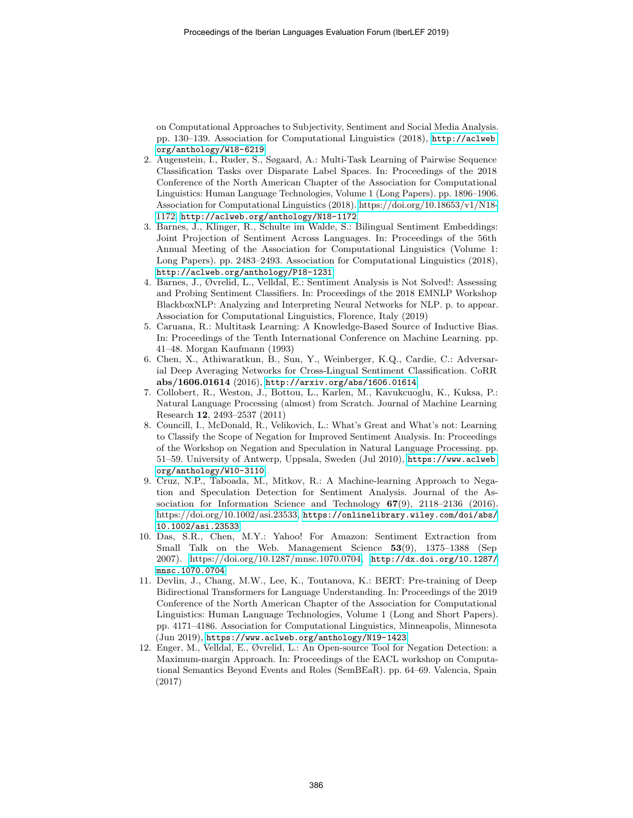on Computational Approaches to Subjectivity, Sentiment and Social Media Analysis. pp. 130–139. Association for Computational Linguistics (2018), [http://aclweb.](http://aclweb.org/anthology/W18-6219) [org/anthology/W18-6219](http://aclweb.org/anthology/W18-6219)

- <span id="page-8-6"></span>2. Augenstein, I., Ruder, S., Søgaard, A.: Multi-Task Learning of Pairwise Sequence Classification Tasks over Disparate Label Spaces. In: Proceedings of the 2018 Conference of the North American Chapter of the Association for Computational Linguistics: Human Language Technologies, Volume 1 (Long Papers). pp. 1896–1906. Association for Computational Linguistics (2018). [https://doi.org/10.18653/v1/N18-](https://doi.org/10.18653/v1/N18-1172) [1172,](https://doi.org/10.18653/v1/N18-1172) <http://aclweb.org/anthology/N18-1172>
- <span id="page-8-8"></span>3. Barnes, J., Klinger, R., Schulte im Walde, S.: Bilingual Sentiment Embeddings: Joint Projection of Sentiment Across Languages. In: Proceedings of the 56th Annual Meeting of the Association for Computational Linguistics (Volume 1: Long Papers). pp. 2483–2493. Association for Computational Linguistics (2018), <http://aclweb.org/anthology/P18-1231>
- 4. Barnes, J., Øvrelid, L., Velldal, E.: Sentiment Analysis is Not Solved!: Assessing and Probing Sentiment Classifiers. In: Proceedings of the 2018 EMNLP Workshop BlackboxNLP: Analyzing and Interpreting Neural Networks for NLP. p. to appear. Association for Computational Linguistics, Florence, Italy (2019)
- <span id="page-8-1"></span>5. Caruana, R.: Multitask Learning: A Knowledge-Based Source of Inductive Bias. In: Proceedings of the Tenth International Conference on Machine Learning. pp. 41–48. Morgan Kaufmann (1993)
- <span id="page-8-7"></span>6. Chen, X., Athiwaratkun, B., Sun, Y., Weinberger, K.Q., Cardie, C.: Adversarial Deep Averaging Networks for Cross-Lingual Sentiment Classification. CoRR abs/1606.01614 (2016), <http://arxiv.org/abs/1606.01614>
- <span id="page-8-2"></span>7. Collobert, R., Weston, J., Bottou, L., Karlen, M., Kavukcuoglu, K., Kuksa, P.: Natural Language Processing (almost) from Scratch. Journal of Machine Learning Research 12, 2493–2537 (2011)
- <span id="page-8-3"></span>8. Councill, I., McDonald, R., Velikovich, L.: What's Great and What's not: Learning to Classify the Scope of Negation for Improved Sentiment Analysis. In: Proceedings of the Workshop on Negation and Speculation in Natural Language Processing. pp. 51–59. University of Antwerp, Uppsala, Sweden (Jul 2010), [https://www.aclweb.](https://www.aclweb.org/anthology/W10-3110) [org/anthology/W10-3110](https://www.aclweb.org/anthology/W10-3110)
- <span id="page-8-4"></span>9. Cruz, N.P., Taboada, M., Mitkov, R.: A Machine-learning Approach to Negation and Speculation Detection for Sentiment Analysis. Journal of the Association for Information Science and Technology  $67(9)$ ,  $2118-2136$  (2016). [https://doi.org/10.1002/asi.23533,](https://doi.org/10.1002/asi.23533) [https://onlinelibrary.wiley.com/doi/abs/](https://onlinelibrary.wiley.com/doi/abs/10.1002/asi.23533) [10.1002/asi.23533](https://onlinelibrary.wiley.com/doi/abs/10.1002/asi.23533)
- 10. Das, S.R., Chen, M.Y.: Yahoo! For Amazon: Sentiment Extraction from Small Talk on the Web. Management Science 53(9), 1375–1388 (Sep 2007). [https://doi.org/10.1287/mnsc.1070.0704,](https://doi.org/10.1287/mnsc.1070.0704) [http://dx.doi.org/10.1287/](http://dx.doi.org/10.1287/mnsc.1070.0704) [mnsc.1070.0704](http://dx.doi.org/10.1287/mnsc.1070.0704)
- <span id="page-8-0"></span>11. Devlin, J., Chang, M.W., Lee, K., Toutanova, K.: BERT: Pre-training of Deep Bidirectional Transformers for Language Understanding. In: Proceedings of the 2019 Conference of the North American Chapter of the Association for Computational Linguistics: Human Language Technologies, Volume 1 (Long and Short Papers). pp. 4171–4186. Association for Computational Linguistics, Minneapolis, Minnesota (Jun 2019), <https://www.aclweb.org/anthology/N19-1423>
- <span id="page-8-5"></span>12. Enger, M., Velldal, E., Øvrelid, L.: An Open-source Tool for Negation Detection: a Maximum-margin Approach. In: Proceedings of the EACL workshop on Computational Semantics Beyond Events and Roles (SemBEaR). pp. 64–69. Valencia, Spain (2017)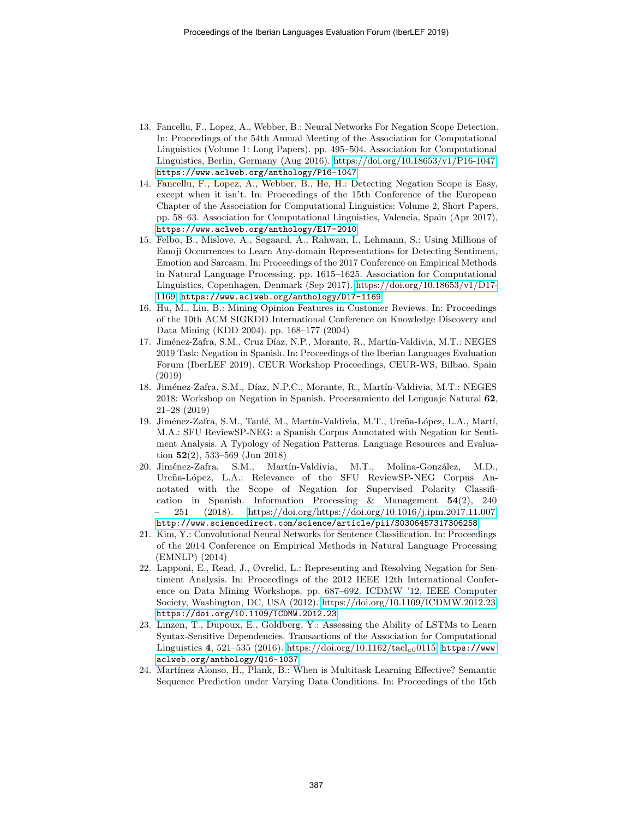- <span id="page-9-3"></span>13. Fancellu, F., Lopez, A., Webber, B.: Neural Networks For Negation Scope Detection. In: Proceedings of the 54th Annual Meeting of the Association for Computational Linguistics (Volume 1: Long Papers). pp. 495–504. Association for Computational Linguistics, Berlin, Germany (Aug 2016). [https://doi.org/10.18653/v1/P16-1047,](https://doi.org/10.18653/v1/P16-1047) <https://www.aclweb.org/anthology/P16-1047>
- <span id="page-9-9"></span>14. Fancellu, F., Lopez, A., Webber, B., He, H.: Detecting Negation Scope is Easy, except when it isn't. In: Proceedings of the 15th Conference of the European Chapter of the Association for Computational Linguistics: Volume 2, Short Papers. pp. 58–63. Association for Computational Linguistics, Valencia, Spain (Apr 2017), <https://www.aclweb.org/anthology/E17-2010>
- <span id="page-9-8"></span>15. Felbo, B., Mislove, A., Søgaard, A., Rahwan, I., Lehmann, S.: Using Millions of Emoji Occurrences to Learn Any-domain Representations for Detecting Sentiment, Emotion and Sarcasm. In: Proceedings of the 2017 Conference on Empirical Methods in Natural Language Processing. pp. 1615–1625. Association for Computational Linguistics, Copenhagen, Denmark (Sep 2017). [https://doi.org/10.18653/v1/D17-](https://doi.org/10.18653/v1/D17-1169) [1169,](https://doi.org/10.18653/v1/D17-1169) <https://www.aclweb.org/anthology/D17-1169>
- <span id="page-9-1"></span>16. Hu, M., Liu, B.: Mining Opinion Features in Customer Reviews. In: Proceedings of the 10th ACM SIGKDD International Conference on Knowledge Discovery and Data Mining (KDD 2004). pp. 168–177 (2004)
- <span id="page-9-0"></span>17. Jiménez-Zafra, S.M., Cruz Díaz, N.P., Morante, R., Martín-Valdivia, M.T.: NEGES 2019 Task: Negation in Spanish. In: Proceedings of the Iberian Languages Evaluation Forum (IberLEF 2019). CEUR Workshop Proceedings, CEUR-WS, Bilbao, Spain (2019)
- 18. Jiménez-Zafra, S.M., Díaz, N.P.C., Morante, R., Martín-Valdivia, M.T.: NEGES 2018: Workshop on Negation in Spanish. Procesamiento del Lenguaje Natural 62, 21–28 (2019)
- <span id="page-9-5"></span>19. Jiménez-Zafra, S.M., Taulé, M., Martín-Valdivia, M.T., Ureña-López, L.A., Martí, M.A.: SFU ReviewSP-NEG: a Spanish Corpus Annotated with Negation for Sentiment Analysis. A Typology of Negation Patterns. Language Resources and Evaluation 52(2), 533–569 (Jun 2018)
- <span id="page-9-6"></span>20. Jiménez-Zafra, S.M., Martín-Valdivia, M.T., Molina-González, M.D., Ureña-López, L.A.: Relevance of the SFU ReviewSP-NEG Corpus Annotated with the Scope of Negation for Supervised Polarity Classification in Spanish. Information Processing & Management 54(2), 240 – 251 (2018). [https://doi.org/https://doi.org/10.1016/j.ipm.2017.11.007,](https://doi.org/https://doi.org/10.1016/j.ipm.2017.11.007) <http://www.sciencedirect.com/science/article/pii/S0306457317306258>
- <span id="page-9-7"></span>21. Kim, Y.: Convolutional Neural Networks for Sentence Classification. In: Proceedings of the 2014 Conference on Empirical Methods in Natural Language Processing (EMNLP) (2014)
- <span id="page-9-2"></span>22. Lapponi, E., Read, J., Øvrelid, L.: Representing and Resolving Negation for Sentiment Analysis. In: Proceedings of the 2012 IEEE 12th International Conference on Data Mining Workshops. pp. 687–692. ICDMW '12, IEEE Computer Society, Washington, DC, USA (2012). [https://doi.org/10.1109/ICDMW.2012.23,](https://doi.org/10.1109/ICDMW.2012.23) <https://doi.org/10.1109/ICDMW.2012.23>
- 23. Linzen, T., Dupoux, E., Goldberg, Y.: Assessing the Ability of LSTMs to Learn Syntax-Sensitive Dependencies. Transactions of the Association for Computational Linguistics 4, 521–535 (2016). [https://doi.org/10.1162/tacl](https://doi.org/10.1162/tacl_a_00115)<sub>a0</sub>0115, [https://www.](https://www.aclweb.org/anthology/Q16-1037) [aclweb.org/anthology/Q16-1037](https://www.aclweb.org/anthology/Q16-1037)
- <span id="page-9-4"></span>24. Martínez Alonso, H., Plank, B.: When is Multitask Learning Effective? Semantic Sequence Prediction under Varying Data Conditions. In: Proceedings of the 15th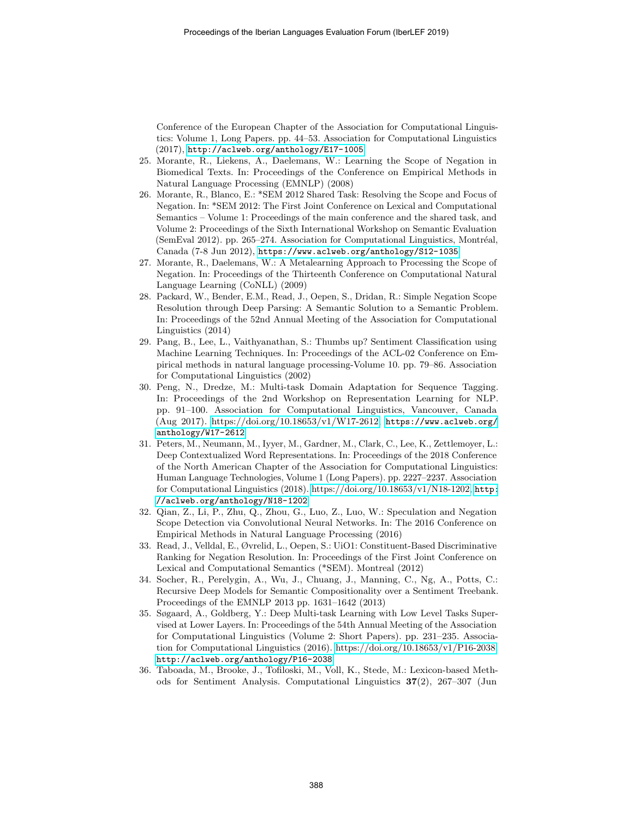Conference of the European Chapter of the Association for Computational Linguistics: Volume 1, Long Papers. pp. 44–53. Association for Computational Linguistics (2017), <http://aclweb.org/anthology/E17-1005>

- <span id="page-10-1"></span>25. Morante, R., Liekens, A., Daelemans, W.: Learning the Scope of Negation in Biomedical Texts. In: Proceedings of the Conference on Empirical Methods in Natural Language Processing (EMNLP) (2008)
- <span id="page-10-3"></span>26. Morante, R., Blanco, E.: \*SEM 2012 Shared Task: Resolving the Scope and Focus of Negation. In: \*SEM 2012: The First Joint Conference on Lexical and Computational Semantics – Volume 1: Proceedings of the main conference and the shared task, and Volume 2: Proceedings of the Sixth International Workshop on Semantic Evaluation  $(SemEval 2012)$ . pp. 265–274. Association for Computational Linguistics, Montréal, Canada (7-8 Jun 2012), <https://www.aclweb.org/anthology/S12-1035>
- <span id="page-10-2"></span>27. Morante, R., Daelemans, W.: A Metalearning Approach to Processing the Scope of Negation. In: Proceedings of the Thirteenth Conference on Computational Natural Language Learning (CoNLL) (2009)
- <span id="page-10-5"></span>28. Packard, W., Bender, E.M., Read, J., Oepen, S., Dridan, R.: Simple Negation Scope Resolution through Deep Parsing: A Semantic Solution to a Semantic Problem. In: Proceedings of the 52nd Annual Meeting of the Association for Computational Linguistics (2014)
- 29. Pang, B., Lee, L., Vaithyanathan, S.: Thumbs up? Sentiment Classification using Machine Learning Techniques. In: Proceedings of the ACL-02 Conference on Empirical methods in natural language processing-Volume 10. pp. 79–86. Association for Computational Linguistics (2002)
- <span id="page-10-7"></span>30. Peng, N., Dredze, M.: Multi-task Domain Adaptation for Sequence Tagging. In: Proceedings of the 2nd Workshop on Representation Learning for NLP. pp. 91–100. Association for Computational Linguistics, Vancouver, Canada  $(Aug 2017)$ . [https://doi.org/10.18653/v1/W17-2612,](https://doi.org/10.18653/v1/W17-2612) [https://www.aclweb.org/](https://www.aclweb.org/anthology/W17-2612) [anthology/W17-2612](https://www.aclweb.org/anthology/W17-2612)
- <span id="page-10-0"></span>31. Peters, M., Neumann, M., Iyyer, M., Gardner, M., Clark, C., Lee, K., Zettlemoyer, L.: Deep Contextualized Word Representations. In: Proceedings of the 2018 Conference of the North American Chapter of the Association for Computational Linguistics: Human Language Technologies, Volume 1 (Long Papers). pp. 2227–2237. Association for Computational Linguistics (2018). [https://doi.org/10.18653/v1/N18-1202,](https://doi.org/10.18653/v1/N18-1202) [http:](http://aclweb.org/anthology/N18-1202) [//aclweb.org/anthology/N18-1202](http://aclweb.org/anthology/N18-1202)
- <span id="page-10-6"></span>32. Qian, Z., Li, P., Zhu, Q., Zhou, G., Luo, Z., Luo, W.: Speculation and Negation Scope Detection via Convolutional Neural Networks. In: The 2016 Conference on Empirical Methods in Natural Language Processing (2016)
- <span id="page-10-4"></span>33. Read, J., Velldal, E., Øvrelid, L., Oepen, S.: UiO1: Constituent-Based Discriminative Ranking for Negation Resolution. In: Proceedings of the First Joint Conference on Lexical and Computational Semantics (\*SEM). Montreal (2012)
- 34. Socher, R., Perelygin, A., Wu, J., Chuang, J., Manning, C., Ng, A., Potts, C.: Recursive Deep Models for Semantic Compositionality over a Sentiment Treebank. Proceedings of the EMNLP 2013 pp. 1631–1642 (2013)
- <span id="page-10-8"></span>35. Søgaard, A., Goldberg, Y.: Deep Multi-task Learning with Low Level Tasks Supervised at Lower Layers. In: Proceedings of the 54th Annual Meeting of the Association for Computational Linguistics (Volume 2: Short Papers). pp. 231–235. Association for Computational Linguistics (2016). [https://doi.org/10.18653/v1/P16-2038,](https://doi.org/10.18653/v1/P16-2038) <http://aclweb.org/anthology/P16-2038>
- <span id="page-10-9"></span>36. Taboada, M., Brooke, J., Tofiloski, M., Voll, K., Stede, M.: Lexicon-based Methods for Sentiment Analysis. Computational Linguistics 37(2), 267–307 (Jun